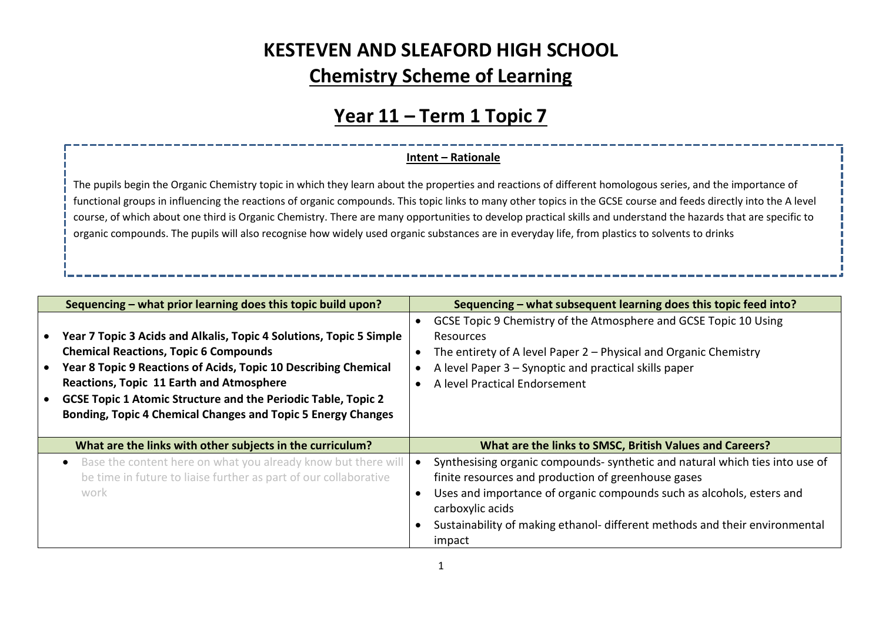# **KESTEVEN AND SLEAFORD HIGH SCHOOL Chemistry Scheme of Learning**

# **Year 11 – Term 1 Topic 7**

#### **Intent – Rationale**

The pupils begin the Organic Chemistry topic in which they learn about the properties and reactions of different homologous series, and the importance of functional groups in influencing the reactions of organic compounds. This topic links to many other topics in the GCSE course and feeds directly into the A level course, of which about one third is Organic Chemistry. There are many opportunities to develop practical skills and understand the hazards that are specific to organic compounds. The pupils will also recognise how widely used organic substances are in everyday life, from plastics to solvents to drinks

| Sequencing – what prior learning does this topic build upon?                                                                                                                                                                                                                                                                                                                            | Sequencing – what subsequent learning does this topic feed into?                                                                                                                                                                                                                                                         |
|-----------------------------------------------------------------------------------------------------------------------------------------------------------------------------------------------------------------------------------------------------------------------------------------------------------------------------------------------------------------------------------------|--------------------------------------------------------------------------------------------------------------------------------------------------------------------------------------------------------------------------------------------------------------------------------------------------------------------------|
| • Year 7 Topic 3 Acids and Alkalis, Topic 4 Solutions, Topic 5 Simple<br><b>Chemical Reactions, Topic 6 Compounds</b><br>• Year 8 Topic 9 Reactions of Acids, Topic 10 Describing Chemical<br><b>Reactions, Topic 11 Earth and Atmosphere</b><br>• GCSE Topic 1 Atomic Structure and the Periodic Table, Topic 2<br><b>Bonding, Topic 4 Chemical Changes and Topic 5 Energy Changes</b> | GCSE Topic 9 Chemistry of the Atmosphere and GCSE Topic 10 Using<br>Resources<br>The entirety of A level Paper 2 – Physical and Organic Chemistry<br>A level Paper 3 - Synoptic and practical skills paper<br>A level Practical Endorsement                                                                              |
| What are the links with other subjects in the curriculum?                                                                                                                                                                                                                                                                                                                               | What are the links to SMSC, British Values and Careers?                                                                                                                                                                                                                                                                  |
| Base the content here on what you already know but there will<br>be time in future to liaise further as part of our collaborative<br>work                                                                                                                                                                                                                                               | Synthesising organic compounds- synthetic and natural which ties into use of<br>finite resources and production of greenhouse gases<br>Uses and importance of organic compounds such as alcohols, esters and<br>carboxylic acids<br>Sustainability of making ethanol-different methods and their environmental<br>impact |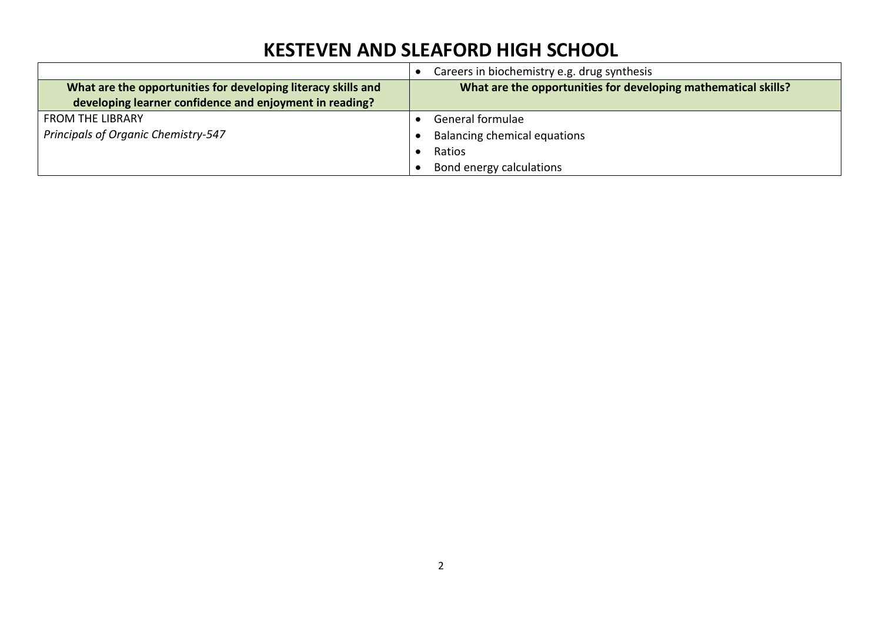|                                                               | Careers in biochemistry e.g. drug synthesis                    |  |  |
|---------------------------------------------------------------|----------------------------------------------------------------|--|--|
| What are the opportunities for developing literacy skills and | What are the opportunities for developing mathematical skills? |  |  |
| developing learner confidence and enjoyment in reading?       |                                                                |  |  |
| <b>FROM THE LIBRARY</b>                                       | General formulae                                               |  |  |
| <b>Principals of Organic Chemistry-547</b>                    | Balancing chemical equations                                   |  |  |
|                                                               | Ratios                                                         |  |  |
|                                                               | Bond energy calculations                                       |  |  |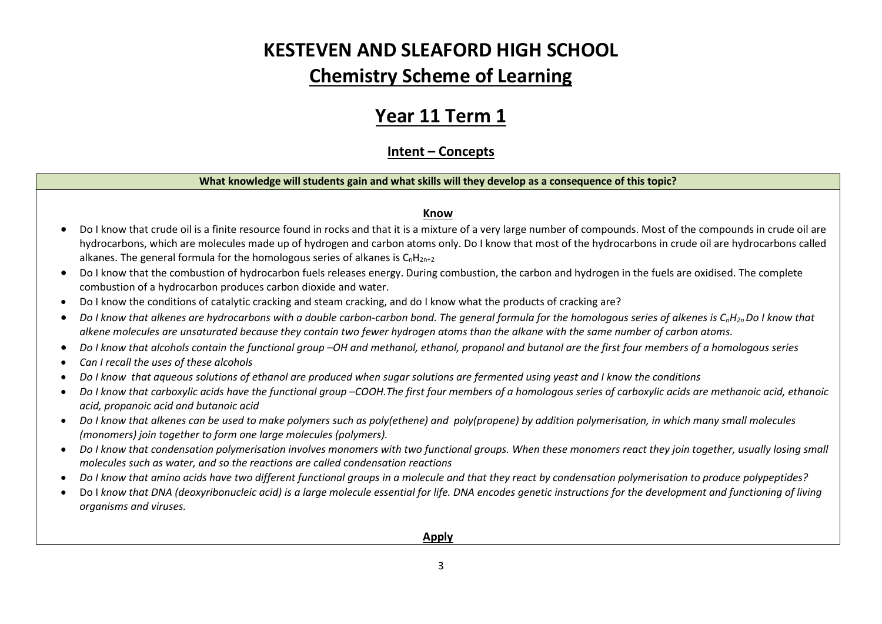# **KESTEVEN AND SLEAFORD HIGH SCHOOL Chemistry Scheme of Learning**

### **Year 11 Term 1**

#### **Intent – Concepts**

#### **What knowledge will students gain and what skills will they develop as a consequence of this topic?**

#### **Know**

- Do I know that crude oil is a finite resource found in rocks and that it is a mixture of a very large number of compounds. Most of the compounds in crude oil are hydrocarbons, which are molecules made up of hydrogen and carbon atoms only. Do I know that most of the hydrocarbons in crude oil are hydrocarbons called alkanes. The general formula for the homologous series of alkanes is  $C_nH_{2n+2}$
- Do I know that the combustion of hydrocarbon fuels releases energy. During combustion, the carbon and hydrogen in the fuels are oxidised. The complete combustion of a hydrocarbon produces carbon dioxide and water.
- Do I know the conditions of catalytic cracking and steam cracking, and do I know what the products of cracking are?
- Do I know that alkenes are hydrocarbons with a double carbon-carbon bond. The general formula for the homologous series of alkenes is  $C_nH_{2n}$ Do I know that *alkene molecules are unsaturated because they contain two fewer hydrogen atoms than the alkane with the same number of carbon atoms.*
- *Do I know that alcohols contain the functional group –OH and methanol, ethanol, propanol and butanol are the first four members of a homologous series*
- *Can I recall the uses of these alcohols*
- *Do I know that aqueous solutions of ethanol are produced when sugar solutions are fermented using yeast and I know the conditions*
- *Do I know that carboxylic acids have the functional group –COOH.The first four members of a homologous series of carboxylic acids are methanoic acid, ethanoic acid, propanoic acid and butanoic acid*
- *Do I know that alkenes can be used to make polymers such as poly(ethene) and poly(propene) by addition polymerisation, in which many small molecules (monomers) join together to form one large molecules (polymers).*
- *Do I know that condensation polymerisation involves monomers with two functional groups. When these monomers react they join together, usually losing small molecules such as water, and so the reactions are called condensation reactions*
- *Do I know that amino acids have two different functional groups in a molecule and that they react by condensation polymerisation to produce polypeptides?*
- Do I *know that DNA (deoxyribonucleic acid) is a large molecule essential for life. DNA encodes genetic instructions for the development and functioning of living organisms and viruses.*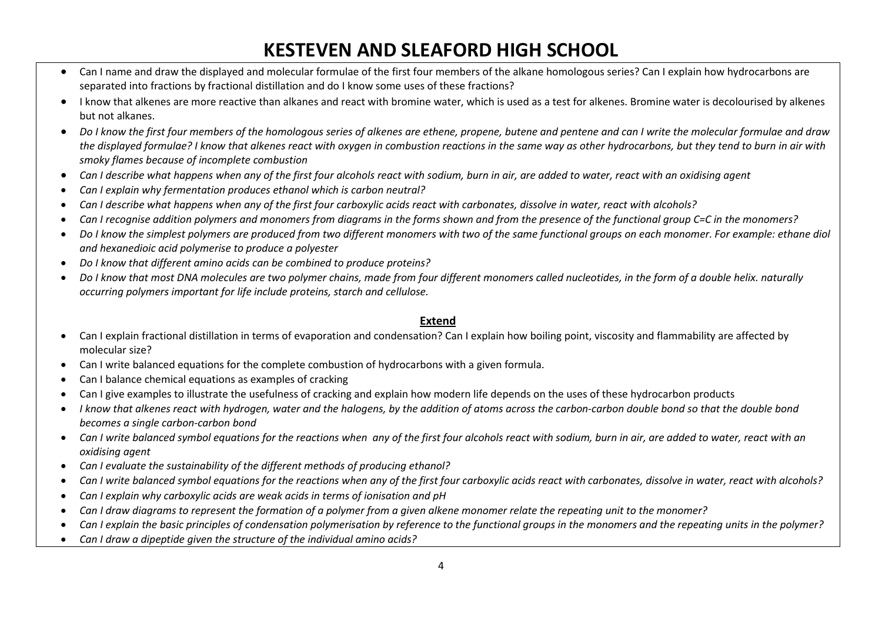- Can I name and draw the displayed and molecular formulae of the first four members of the alkane homologous series? Can I explain how hydrocarbons are separated into fractions by fractional distillation and do I know some uses of these fractions?
- I know that alkenes are more reactive than alkanes and react with bromine water, which is used as a test for alkenes. Bromine water is decolourised by alkenes but not alkanes.
- *Do I know the first four members of the homologous series of alkenes are ethene, propene, butene and pentene and can I write the molecular formulae and draw*  the displayed formulae? I know that alkenes react with oxygen in combustion reactions in the same way as other hydrocarbons, but they tend to burn in air with *smoky flames because of incomplete combustion*
- *Can I describe what happens when any of the first four alcohols react with sodium, burn in air, are added to water, react with an oxidising agent*
- *Can I explain why fermentation produces ethanol which is carbon neutral?*
- *Can I describe what happens when any of the first four carboxylic acids react with carbonates, dissolve in water, react with alcohols?*
- *Can I recognise addition polymers and monomers from diagrams in the forms shown and from the presence of the functional group C=C in the monomers?*
- *Do I know the simplest polymers are produced from two different monomers with two of the same functional groups on each monomer. For example: ethane diol and hexanedioic acid polymerise to produce a polyester*
- *Do I know that different amino acids can be combined to produce proteins?*
- *Do I know that most DNA molecules are two polymer chains, made from four different monomers called nucleotides, in the form of a double helix. naturally occurring polymers important for life include proteins, starch and cellulose.*

#### **Extend**

- Can I explain fractional distillation in terms of evaporation and condensation? Can I explain how boiling point, viscosity and flammability are affected by molecular size?
- Can I write balanced equations for the complete combustion of hydrocarbons with a given formula.
- Can I balance chemical equations as examples of cracking
- Can I give examples to illustrate the usefulness of cracking and explain how modern life depends on the uses of these hydrocarbon products
- I know that alkenes react with hydrogen, water and the halogens, by the addition of atoms across the carbon-carbon double bond so that the double bond *becomes a single carbon-carbon bond*
- *Can I write balanced symbol equations for the reactions when any of the first four alcohols react with sodium, burn in air, are added to water, react with an oxidising agent*
- *Can I evaluate the sustainability of the different methods of producing ethanol?*
- *Can I write balanced symbol equations for the reactions when any of the first four carboxylic acids react with carbonates, dissolve in water, react with alcohols?*
- *Can I explain why carboxylic acids are weak acids in terms of ionisation and pH*
- *Can I draw diagrams to represent the formation of a polymer from a given alkene monomer relate the repeating unit to the monomer?*
- *Can I explain the basic principles of condensation polymerisation by reference to the functional groups in the monomers and the repeating units in the polymer?*
- *Can I draw a dipeptide given the structure of the individual amino acids?*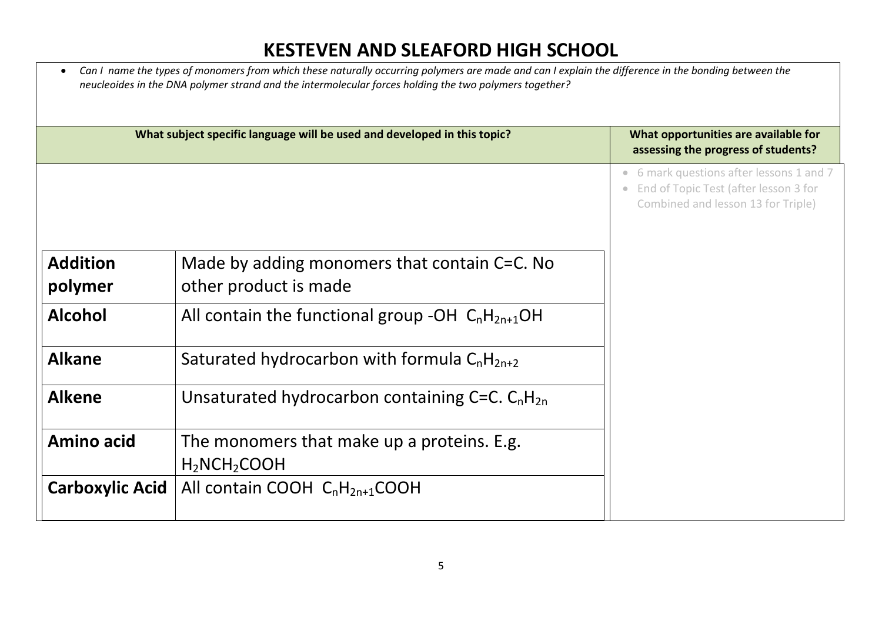|                            | Can I name the types of monomers from which these naturally occurring polymers are made and can I explain the difference in the bonding between the<br>neucleoides in the DNA polymer strand and the intermolecular forces holding the two polymers together?<br>What subject specific language will be used and developed in this topic? | What opportunities are available for                                                                                                 |
|----------------------------|-------------------------------------------------------------------------------------------------------------------------------------------------------------------------------------------------------------------------------------------------------------------------------------------------------------------------------------------|--------------------------------------------------------------------------------------------------------------------------------------|
|                            |                                                                                                                                                                                                                                                                                                                                           | assessing the progress of students?                                                                                                  |
|                            |                                                                                                                                                                                                                                                                                                                                           | • 6 mark questions after lessons 1 and 7<br>End of Topic Test (after lesson 3 for<br>$\bullet$<br>Combined and lesson 13 for Triple) |
| <b>Addition</b><br>polymer | Made by adding monomers that contain C=C. No<br>other product is made                                                                                                                                                                                                                                                                     |                                                                                                                                      |
| <b>Alcohol</b>             | All contain the functional group -OH $C_nH_{2n+1}OH$                                                                                                                                                                                                                                                                                      |                                                                                                                                      |
| <b>Alkane</b>              | Saturated hydrocarbon with formula $C_nH_{2n+2}$                                                                                                                                                                                                                                                                                          |                                                                                                                                      |
| <b>Alkene</b>              | Unsaturated hydrocarbon containing C=C. $C_nH_{2n}$                                                                                                                                                                                                                                                                                       |                                                                                                                                      |
| <b>Amino acid</b>          | The monomers that make up a proteins. E.g.<br>$H_2NCH_2COOH$                                                                                                                                                                                                                                                                              |                                                                                                                                      |
| <b>Carboxylic Acid</b>     | All contain COOH $C_nH_{2n+1}$ COOH                                                                                                                                                                                                                                                                                                       |                                                                                                                                      |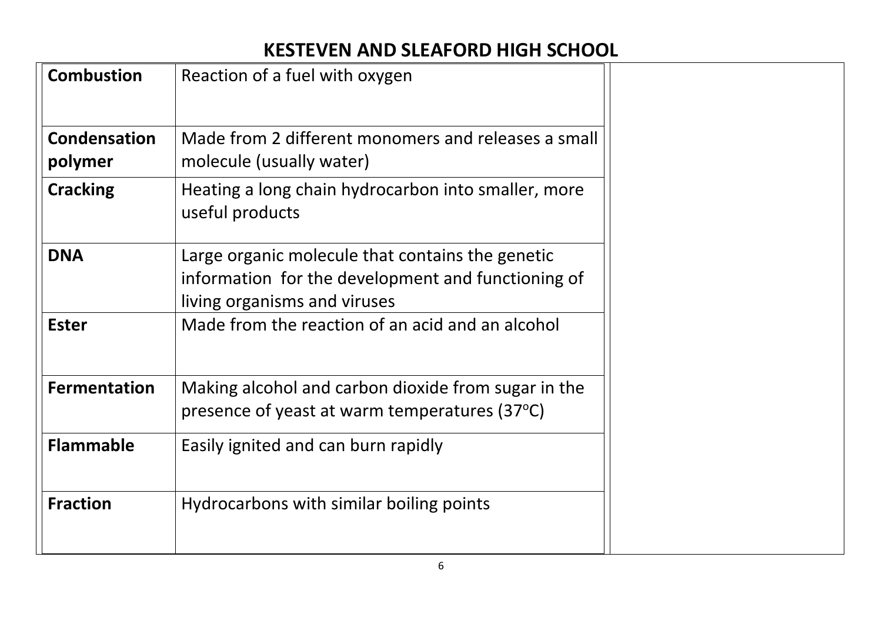| <b>Combustion</b>       | Reaction of a fuel with oxygen                                                                                                         |
|-------------------------|----------------------------------------------------------------------------------------------------------------------------------------|
| Condensation<br>polymer | Made from 2 different monomers and releases a small<br>molecule (usually water)                                                        |
| <b>Cracking</b>         | Heating a long chain hydrocarbon into smaller, more<br>useful products                                                                 |
| <b>DNA</b>              | Large organic molecule that contains the genetic<br>information for the development and functioning of<br>living organisms and viruses |
| <b>Ester</b>            | Made from the reaction of an acid and an alcohol                                                                                       |
| <b>Fermentation</b>     | Making alcohol and carbon dioxide from sugar in the<br>presence of yeast at warm temperatures (37°C)                                   |
| <b>Flammable</b>        | Easily ignited and can burn rapidly                                                                                                    |
| <b>Fraction</b>         | Hydrocarbons with similar boiling points                                                                                               |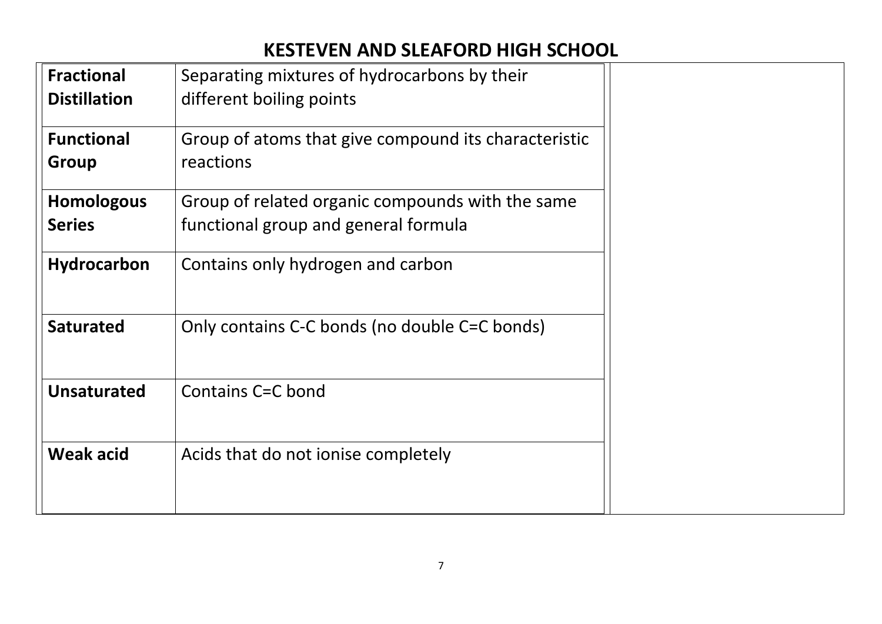| <b>Fractional</b><br><b>Distillation</b> | Separating mixtures of hydrocarbons by their<br>different boiling points                 |  |
|------------------------------------------|------------------------------------------------------------------------------------------|--|
| <b>Functional</b><br>Group               | Group of atoms that give compound its characteristic<br>reactions                        |  |
| <b>Homologous</b><br><b>Series</b>       | Group of related organic compounds with the same<br>functional group and general formula |  |
| <b>Hydrocarbon</b>                       | Contains only hydrogen and carbon                                                        |  |
| <b>Saturated</b>                         | Only contains C-C bonds (no double C=C bonds)                                            |  |
| <b>Unsaturated</b>                       | Contains C=C bond                                                                        |  |
| <b>Weak acid</b>                         | Acids that do not ionise completely                                                      |  |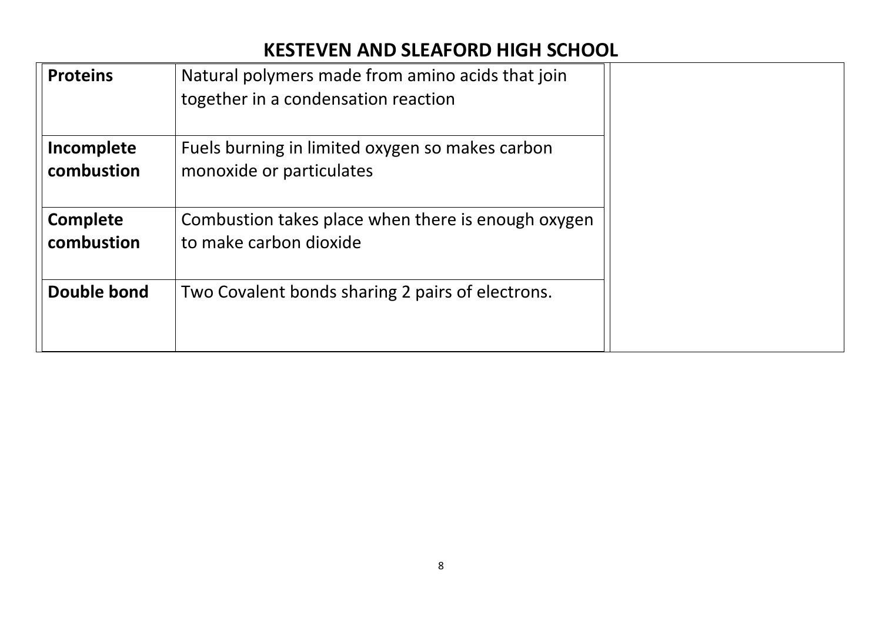| <b>Proteins</b>          | Natural polymers made from amino acids that join<br>together in a condensation reaction |  |
|--------------------------|-----------------------------------------------------------------------------------------|--|
| Incomplete<br>combustion | Fuels burning in limited oxygen so makes carbon<br>monoxide or particulates             |  |
| Complete<br>combustion   | Combustion takes place when there is enough oxygen<br>to make carbon dioxide            |  |
| Double bond              | Two Covalent bonds sharing 2 pairs of electrons.                                        |  |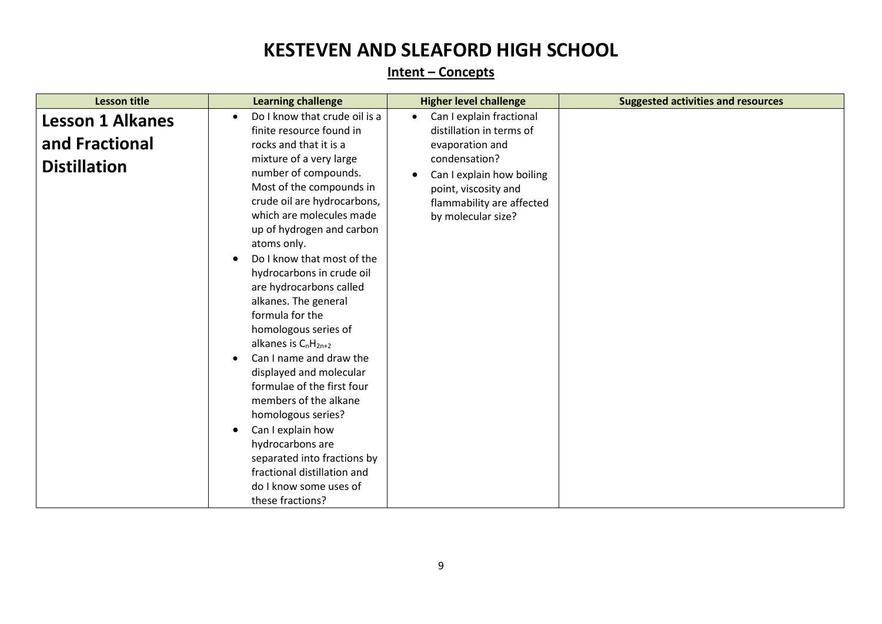#### **Intent – Concepts**

| <b>Lesson title</b>                                              | <b>Learning challenge</b>                                                                                                                                                                                                                                                                                                                                                                                                                                                                              | <b>Higher level challenge</b>                                                                                                                                                                                 | <b>Suggested activities and resources</b> |
|------------------------------------------------------------------|--------------------------------------------------------------------------------------------------------------------------------------------------------------------------------------------------------------------------------------------------------------------------------------------------------------------------------------------------------------------------------------------------------------------------------------------------------------------------------------------------------|---------------------------------------------------------------------------------------------------------------------------------------------------------------------------------------------------------------|-------------------------------------------|
| <b>Lesson 1 Alkanes</b><br>and Fractional<br><b>Distillation</b> | Do I know that crude oil is a<br>$\bullet$<br>finite resource found in<br>rocks and that it is a<br>mixture of a very large<br>number of compounds.<br>Most of the compounds in<br>crude oil are hydrocarbons,<br>which are molecules made<br>up of hydrogen and carbon<br>atoms only.<br>Do I know that most of the<br>hydrocarbons in crude oil<br>are hydrocarbons called<br>alkanes. The general<br>formula for the<br>homologous series of<br>alkanes is $C_nH_{2n+2}$<br>Can I name and draw the | Can I explain fractional<br>$\bullet$<br>distillation in terms of<br>evaporation and<br>condensation?<br>Can I explain how boiling<br>point, viscosity and<br>flammability are affected<br>by molecular size? |                                           |
|                                                                  | displayed and molecular<br>formulae of the first four<br>members of the alkane<br>homologous series?<br>Can I explain how<br>$\bullet$<br>hydrocarbons are<br>separated into fractions by<br>fractional distillation and<br>do I know some uses of<br>these fractions?                                                                                                                                                                                                                                 |                                                                                                                                                                                                               |                                           |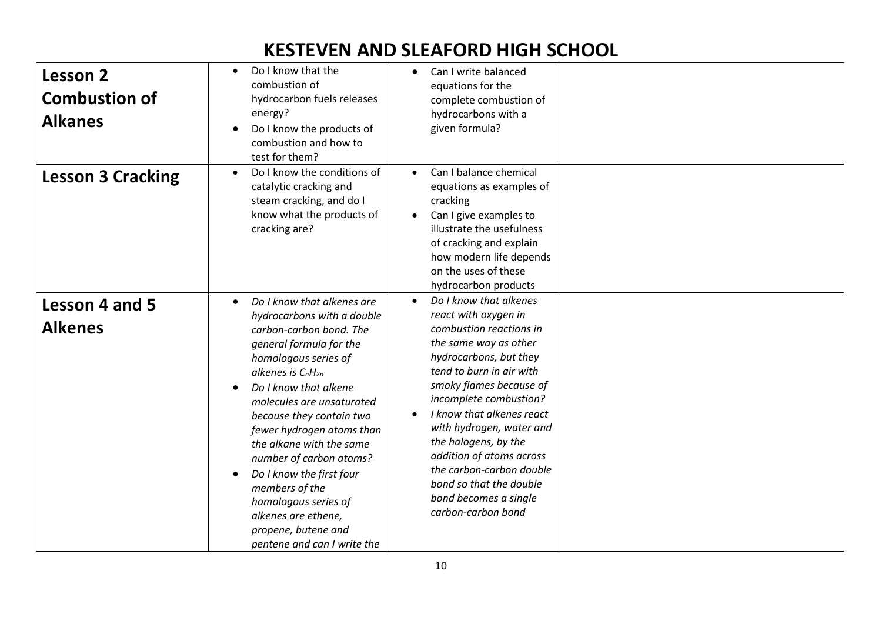| Lesson 2<br><b>Combustion of</b><br><b>Alkanes</b> | Do I know that the<br>$\bullet$<br>combustion of<br>hydrocarbon fuels releases<br>energy?<br>Do I know the products of<br>$\bullet$<br>combustion and how to<br>test for them?                                                                                                                                                                                                                                                                                                                                      | Can I write balanced<br>$\bullet$<br>equations for the<br>complete combustion of<br>hydrocarbons with a<br>given formula?                                                                                                                                                                                                                                                                                                                     |  |
|----------------------------------------------------|---------------------------------------------------------------------------------------------------------------------------------------------------------------------------------------------------------------------------------------------------------------------------------------------------------------------------------------------------------------------------------------------------------------------------------------------------------------------------------------------------------------------|-----------------------------------------------------------------------------------------------------------------------------------------------------------------------------------------------------------------------------------------------------------------------------------------------------------------------------------------------------------------------------------------------------------------------------------------------|--|
| <b>Lesson 3 Cracking</b>                           | Do I know the conditions of<br>$\bullet$<br>catalytic cracking and<br>steam cracking, and do I<br>know what the products of<br>cracking are?                                                                                                                                                                                                                                                                                                                                                                        | Can I balance chemical<br>$\bullet$<br>equations as examples of<br>cracking<br>Can I give examples to<br>$\bullet$<br>illustrate the usefulness<br>of cracking and explain<br>how modern life depends<br>on the uses of these<br>hydrocarbon products                                                                                                                                                                                         |  |
| Lesson 4 and 5<br><b>Alkenes</b>                   | Do I know that alkenes are<br>$\bullet$<br>hydrocarbons with a double<br>carbon-carbon bond. The<br>general formula for the<br>homologous series of<br>alkenes is $C_nH_{2n}$<br>Do I know that alkene<br>molecules are unsaturated<br>because they contain two<br>fewer hydrogen atoms than<br>the alkane with the same<br>number of carbon atoms?<br>Do I know the first four<br>$\bullet$<br>members of the<br>homologous series of<br>alkenes are ethene,<br>propene, butene and<br>pentene and can I write the | Do I know that alkenes<br>$\bullet$<br>react with oxygen in<br>combustion reactions in<br>the same way as other<br>hydrocarbons, but they<br>tend to burn in air with<br>smoky flames because of<br>incomplete combustion?<br>I know that alkenes react<br>with hydrogen, water and<br>the halogens, by the<br>addition of atoms across<br>the carbon-carbon double<br>bond so that the double<br>bond becomes a single<br>carbon-carbon bond |  |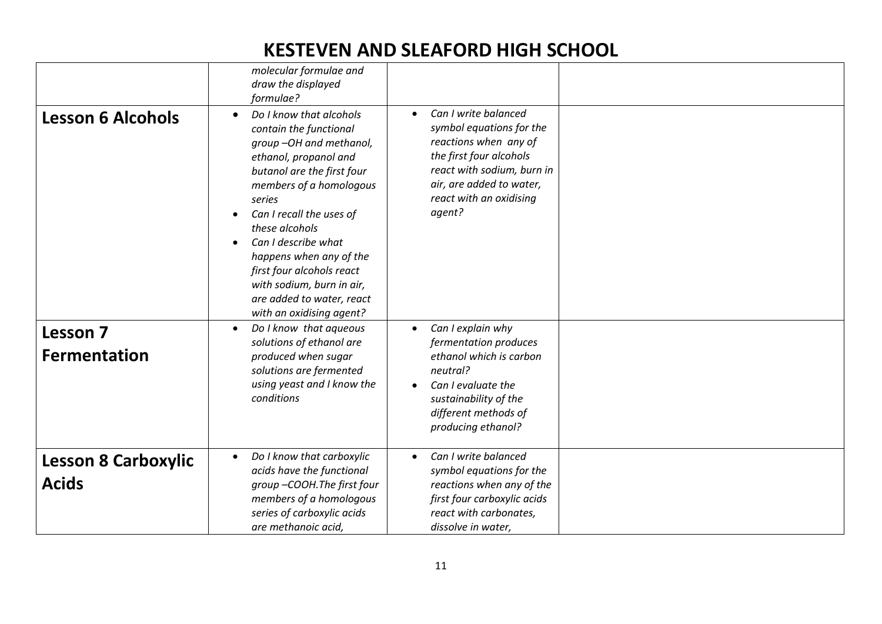|                                            | molecular formulae and<br>draw the displayed<br>formulae?                                                                                                                                                                                                                                                                                                                                                                          |                                                                                                                                                                                                                  |  |
|--------------------------------------------|------------------------------------------------------------------------------------------------------------------------------------------------------------------------------------------------------------------------------------------------------------------------------------------------------------------------------------------------------------------------------------------------------------------------------------|------------------------------------------------------------------------------------------------------------------------------------------------------------------------------------------------------------------|--|
| <b>Lesson 6 Alcohols</b>                   | Do I know that alcohols<br>$\bullet$<br>contain the functional<br>group -OH and methanol,<br>ethanol, propanol and<br>butanol are the first four<br>members of a homologous<br>series<br>Can I recall the uses of<br>$\bullet$<br>these alcohols<br>Can I describe what<br>$\bullet$<br>happens when any of the<br>first four alcohols react<br>with sodium, burn in air,<br>are added to water, react<br>with an oxidising agent? | Can I write balanced<br>$\bullet$<br>symbol equations for the<br>reactions when any of<br>the first four alcohols<br>react with sodium, burn in<br>air, are added to water,<br>react with an oxidising<br>agent? |  |
| Lesson 7<br><b>Fermentation</b>            | Do I know that aqueous<br>$\bullet$<br>solutions of ethanol are<br>produced when sugar<br>solutions are fermented<br>using yeast and I know the<br>conditions                                                                                                                                                                                                                                                                      | Can I explain why<br>$\bullet$<br>fermentation produces<br>ethanol which is carbon<br>neutral?<br>Can I evaluate the<br>sustainability of the<br>different methods of<br>producing ethanol?                      |  |
| <b>Lesson 8 Carboxylic</b><br><b>Acids</b> | Do I know that carboxylic<br>$\bullet$<br>acids have the functional<br>group -COOH. The first four<br>members of a homologous<br>series of carboxylic acids<br>are methanoic acid,                                                                                                                                                                                                                                                 | Can I write balanced<br>$\bullet$<br>symbol equations for the<br>reactions when any of the<br>first four carboxylic acids<br>react with carbonates,<br>dissolve in water,                                        |  |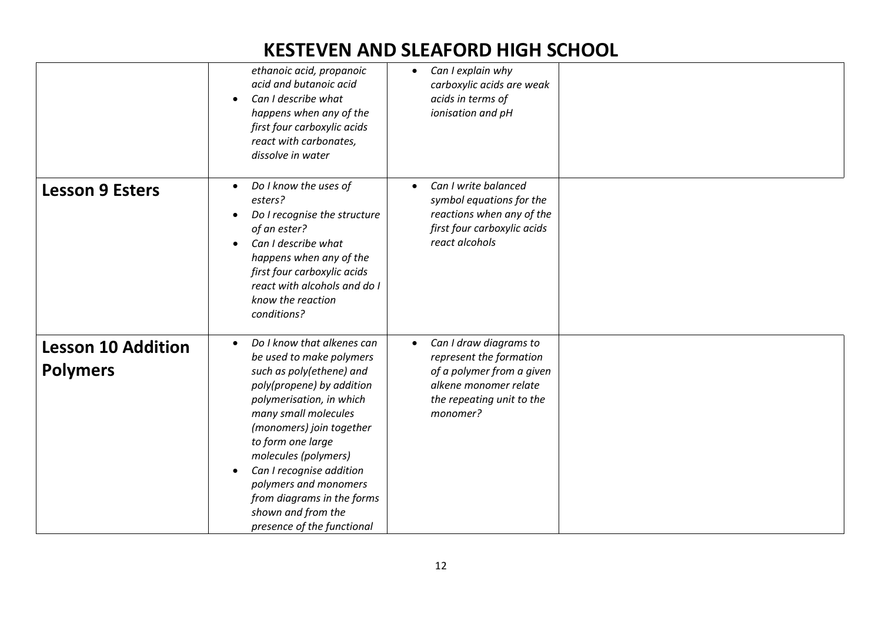|                                              | ethanoic acid, propanoic<br>acid and butanoic acid<br>Can I describe what<br>$\bullet$<br>happens when any of the<br>first four carboxylic acids<br>react with carbonates,<br>dissolve in water                                                                                                                                                                                                               | Can I explain why<br>$\bullet$<br>carboxylic acids are weak<br>acids in terms of<br>ionisation and pH                                                         |  |
|----------------------------------------------|---------------------------------------------------------------------------------------------------------------------------------------------------------------------------------------------------------------------------------------------------------------------------------------------------------------------------------------------------------------------------------------------------------------|---------------------------------------------------------------------------------------------------------------------------------------------------------------|--|
| <b>Lesson 9 Esters</b>                       | Do I know the uses of<br>$\bullet$<br>esters?<br>Do I recognise the structure<br>$\bullet$<br>of an ester?<br>Can I describe what<br>$\bullet$<br>happens when any of the<br>first four carboxylic acids<br>react with alcohols and do I<br>know the reaction<br>conditions?                                                                                                                                  | Can I write balanced<br>symbol equations for the<br>reactions when any of the<br>first four carboxylic acids<br>react alcohols                                |  |
| <b>Lesson 10 Addition</b><br><b>Polymers</b> | Do I know that alkenes can<br>$\bullet$<br>be used to make polymers<br>such as poly(ethene) and<br>poly(propene) by addition<br>polymerisation, in which<br>many small molecules<br>(monomers) join together<br>to form one large<br>molecules (polymers)<br>Can I recognise addition<br>$\bullet$<br>polymers and monomers<br>from diagrams in the forms<br>shown and from the<br>presence of the functional | Can I draw diagrams to<br>$\bullet$<br>represent the formation<br>of a polymer from a given<br>alkene monomer relate<br>the repeating unit to the<br>monomer? |  |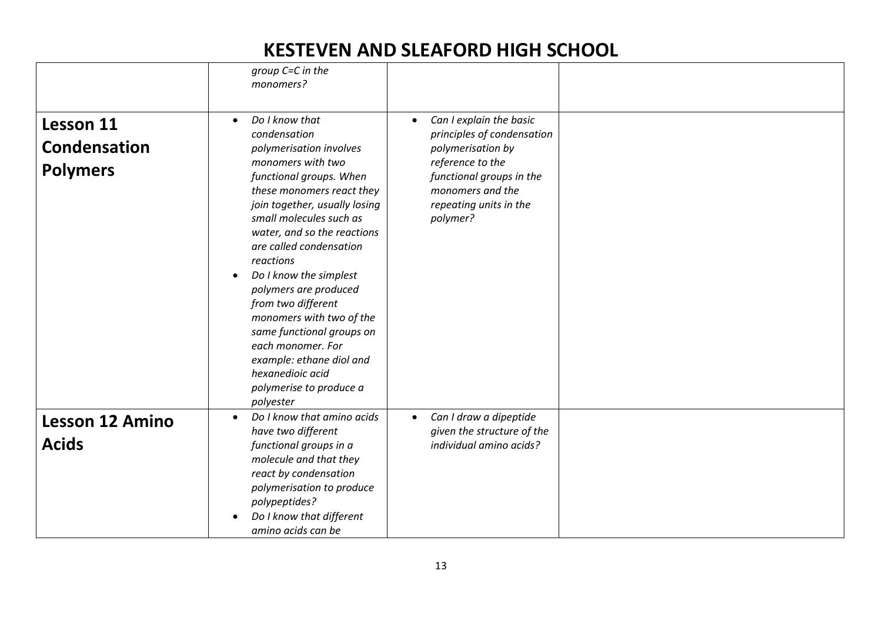|                        | group C=C in the<br>monomers?                                                                                                                                                                                                                                                                                                                                                                                                                               |                                                                                                        |  |
|------------------------|-------------------------------------------------------------------------------------------------------------------------------------------------------------------------------------------------------------------------------------------------------------------------------------------------------------------------------------------------------------------------------------------------------------------------------------------------------------|--------------------------------------------------------------------------------------------------------|--|
|                        |                                                                                                                                                                                                                                                                                                                                                                                                                                                             |                                                                                                        |  |
| Lesson 11              | Do I know that<br>$\bullet$<br>condensation                                                                                                                                                                                                                                                                                                                                                                                                                 | Can I explain the basic<br>$\bullet$<br>principles of condensation                                     |  |
| Condensation           | polymerisation involves                                                                                                                                                                                                                                                                                                                                                                                                                                     | polymerisation by                                                                                      |  |
| <b>Polymers</b>        | monomers with two<br>functional groups. When<br>these monomers react they<br>join together, usually losing<br>small molecules such as<br>water, and so the reactions<br>are called condensation<br>reactions<br>Do I know the simplest<br>$\bullet$<br>polymers are produced<br>from two different<br>monomers with two of the<br>same functional groups on<br>each monomer. For<br>example: ethane diol and<br>hexanedioic acid<br>polymerise to produce a | reference to the<br>functional groups in the<br>monomers and the<br>repeating units in the<br>polymer? |  |
| <b>Lesson 12 Amino</b> | polyester<br>Do I know that amino acids<br>$\bullet$                                                                                                                                                                                                                                                                                                                                                                                                        | Can I draw a dipeptide<br>$\bullet$                                                                    |  |
|                        | have two different                                                                                                                                                                                                                                                                                                                                                                                                                                          | given the structure of the                                                                             |  |
| <b>Acids</b>           | functional groups in a<br>molecule and that they<br>react by condensation<br>polymerisation to produce<br>polypeptides?<br>Do I know that different<br>$\bullet$<br>amino acids can be                                                                                                                                                                                                                                                                      | individual amino acids?                                                                                |  |